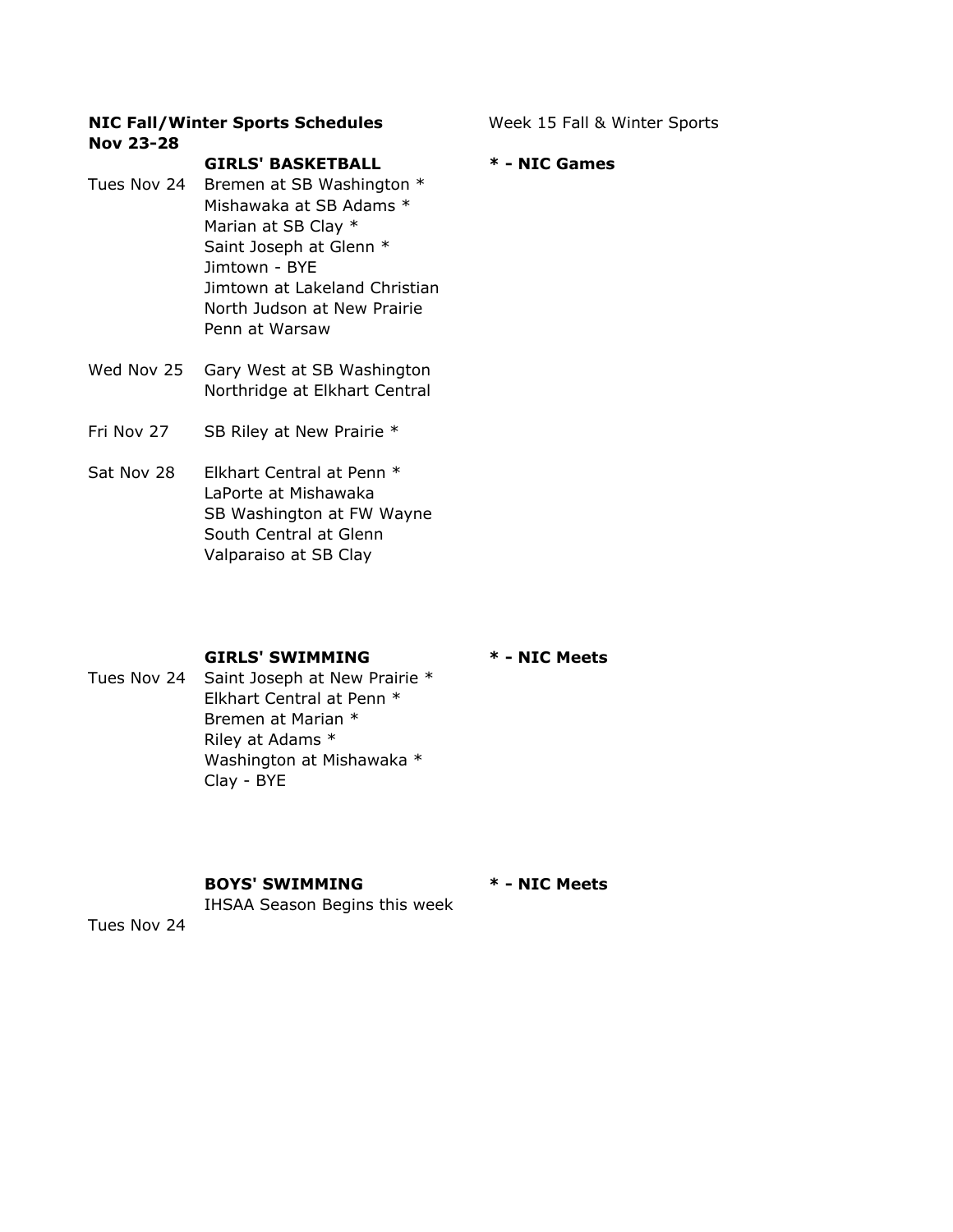## NIC Fall/Winter Sports Schedules Week 15 Fall & Winter Sports Nov 23-28

GIRLS' BASKETBALL \* - NIC Games

Tues Nov 24 Bremen at SB Washington \* Mishawaka at SB Adams \* Marian at SB Clay \* Saint Joseph at Glenn \* Jimtown - BYE Jimtown at Lakeland Christian North Judson at New Prairie Penn at Warsaw

- Wed Nov 25 Gary West at SB Washington Northridge at Elkhart Central
- Fri Nov 27 SB Riley at New Prairie \*
- Sat Nov 28 Elkhart Central at Penn \* LaPorte at Mishawaka SB Washington at FW Wayne South Central at Glenn Valparaiso at SB Clay

### GIRLS' SWIMMING \* - NIC Meets

# Tues Nov 24 Saint Joseph at New Prairie \* Elkhart Central at Penn \* Bremen at Marian \* Riley at Adams \* Washington at Mishawaka \* Clay - BYE

### BOYS' SWIMMING \* - NIC Meets

IHSAA Season Begins this week

Tues Nov 24